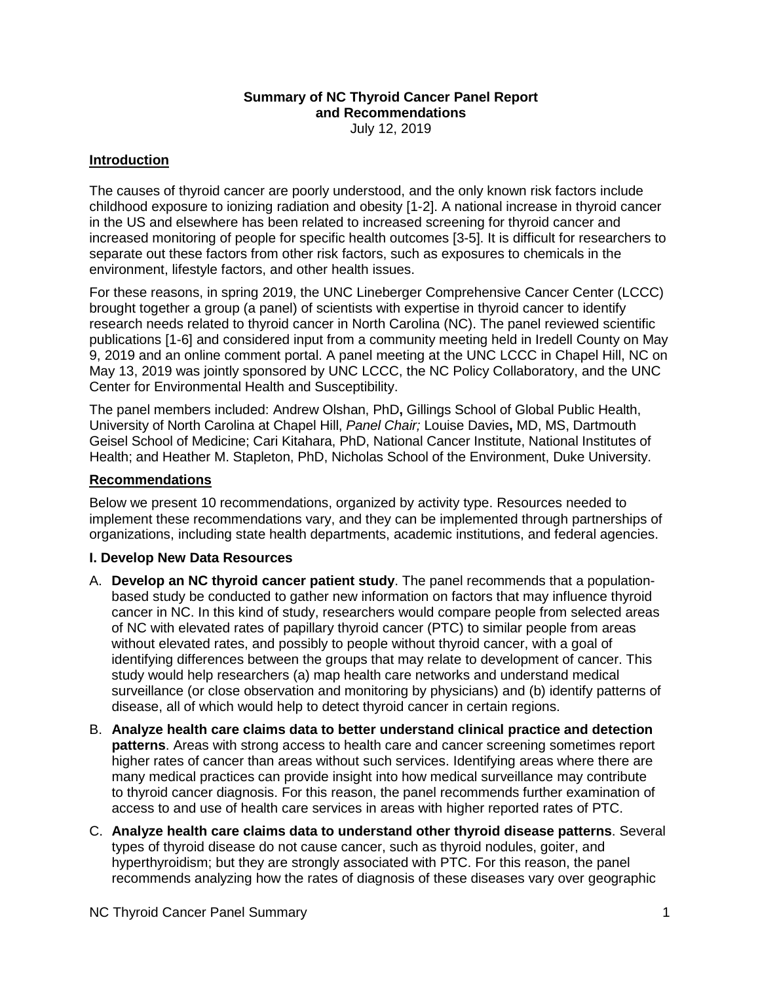# **Summary of NC Thyroid Cancer Panel Report and Recommendations**

July 12, 2019

### **Introduction**

The causes of thyroid cancer are poorly understood, and the only known risk factors include childhood exposure to ionizing radiation and obesity [1-2]. A national increase in thyroid cancer in the US and elsewhere has been related to increased screening for thyroid cancer and increased monitoring of people for specific health outcomes [3-5]. It is difficult for researchers to separate out these factors from other risk factors, such as exposures to chemicals in the environment, lifestyle factors, and other health issues.

For these reasons, in spring 2019, the UNC Lineberger Comprehensive Cancer Center (LCCC) brought together a group (a panel) of scientists with expertise in thyroid cancer to identify research needs related to thyroid cancer in North Carolina (NC). The panel reviewed scientific publications [1-6] and considered input from a community meeting held in Iredell County on May 9, 2019 and an online comment portal. A panel meeting at the UNC LCCC in Chapel Hill, NC on May 13, 2019 was jointly sponsored by UNC LCCC, the NC Policy Collaboratory, and the UNC Center for Environmental Health and Susceptibility.

The panel members included: Andrew [Olshan,](https://sph.unc.edu/adv_profile/andrew-olshan-phd/) PhD**,** Gillings School of Global Public Health, University of North Carolina at Chapel Hill, *Panel Chair;* Louise [Davies](https://tdi.dartmouth.edu/about/our-people/directory/louise-davies-md-ms)**,** MD, MS, Dartmouth Geisel School of Medicine; Cari [Kitahara,](https://dceg.cancer.gov/about/staff-directory/biographies/A-J/kitahara-cari) PhD, National Cancer Institute, National Institutes of Health; and Heather M. Stapleton, PhD, Nicholas School of the Environment, Duke University.

#### **Recommendations**

Below we present 10 recommendations, organized by activity type. Resources needed to implement these recommendations vary, and they can be implemented through partnerships of organizations, including state health departments, academic institutions, and federal agencies.

#### **I. Develop New Data Resources**

- A. **Develop an NC thyroid cancer patient study**. The panel recommends that a populationbased study be conducted to gather new information on factors that may influence thyroid cancer in NC. In this kind of study, researchers would compare people from selected areas of NC with elevated rates of papillary thyroid cancer (PTC) to similar people from areas without elevated rates, and possibly to people without thyroid cancer, with a goal of identifying differences between the groups that may relate to development of cancer. This study would help researchers (a) map health care networks and understand medical surveillance (or close observation and monitoring by physicians) and (b) identify patterns of disease, all of which would help to detect thyroid cancer in certain regions.
- B. **Analyze health care claims data to better understand clinical practice and detection patterns**. Areas with strong access to health care and cancer screening sometimes report higher rates of cancer than areas without such services. Identifying areas where there are many medical practices can provide insight into how medical surveillance may contribute to thyroid cancer diagnosis. For this reason, the panel recommends further examination of access to and use of health care services in areas with higher reported rates of PTC.
- C. **Analyze health care claims data to understand other thyroid disease patterns**. Several types of thyroid disease do not cause cancer, such as thyroid nodules, goiter, and hyperthyroidism; but they are strongly associated with PTC. For this reason, the panel recommends analyzing how the rates of diagnosis of these diseases vary over geographic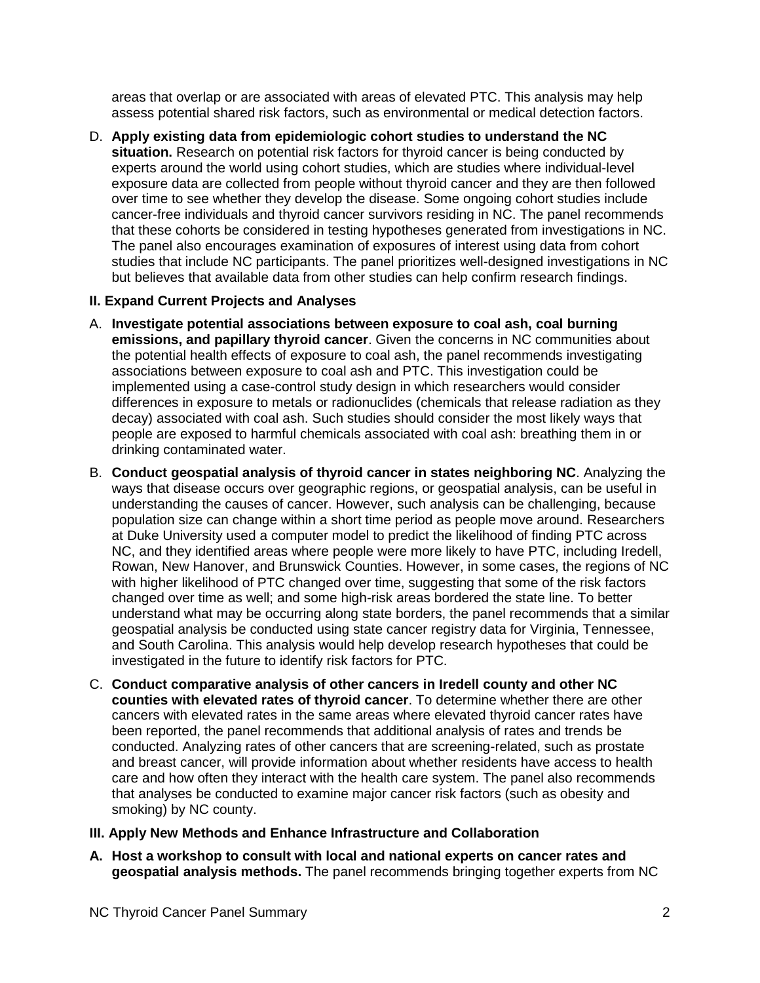areas that overlap or are associated with areas of elevated PTC. This analysis may help assess potential shared risk factors, such as environmental or medical detection factors.

D. **Apply existing data from epidemiologic cohort studies to understand the NC situation.** Research on potential risk factors for thyroid cancer is being conducted by experts around the world using cohort studies, which are studies where individual-level exposure data are collected from people without thyroid cancer and they are then followed over time to see whether they develop the disease. Some ongoing cohort studies include cancer-free individuals and thyroid cancer survivors residing in NC. The panel recommends that these cohorts be considered in testing hypotheses generated from investigations in NC. The panel also encourages examination of exposures of interest using data from cohort studies that include NC participants. The panel prioritizes well-designed investigations in NC but believes that available data from other studies can help confirm research findings.

## **II. Expand Current Projects and Analyses**

- A. **Investigate potential associations between exposure to coal ash, coal burning emissions, and papillary thyroid cancer**. Given the concerns in NC communities about the potential health effects of exposure to coal ash, the panel recommends investigating associations between exposure to coal ash and PTC. This investigation could be implemented using a case-control study design in which researchers would consider differences in exposure to metals or radionuclides (chemicals that release radiation as they decay) associated with coal ash. Such studies should consider the most likely ways that people are exposed to harmful chemicals associated with coal ash: breathing them in or drinking contaminated water.
- B. **Conduct geospatial analysis of thyroid cancer in states neighboring NC**. Analyzing the ways that disease occurs over geographic regions, or geospatial analysis, can be useful in understanding the causes of cancer. However, such analysis can be challenging, because population size can change within a short time period as people move around. Researchers at Duke University used a computer model to predict the likelihood of finding PTC across NC, and they identified areas where people were more likely to have PTC, including Iredell, Rowan, New Hanover, and Brunswick Counties. However, in some cases, the regions of NC with higher likelihood of PTC changed over time, suggesting that some of the risk factors changed over time as well; and some high-risk areas bordered the state line. To better understand what may be occurring along state borders, the panel recommends that a similar geospatial analysis be conducted using state cancer registry data for Virginia, Tennessee, and South Carolina. This analysis would help develop research hypotheses that could be investigated in the future to identify risk factors for PTC.
- C. **Conduct comparative analysis of other cancers in Iredell county and other NC counties with elevated rates of thyroid cancer**. To determine whether there are other cancers with elevated rates in the same areas where elevated thyroid cancer rates have been reported, the panel recommends that additional analysis of rates and trends be conducted. Analyzing rates of other cancers that are screening-related, such as prostate and breast cancer, will provide information about whether residents have access to health care and how often they interact with the health care system. The panel also recommends that analyses be conducted to examine major cancer risk factors (such as obesity and smoking) by NC county.
- **III. Apply New Methods and Enhance Infrastructure and Collaboration**
- **A. Host a workshop to consult with local and national experts on cancer rates and geospatial analysis methods.** The panel recommends bringing together experts from NC